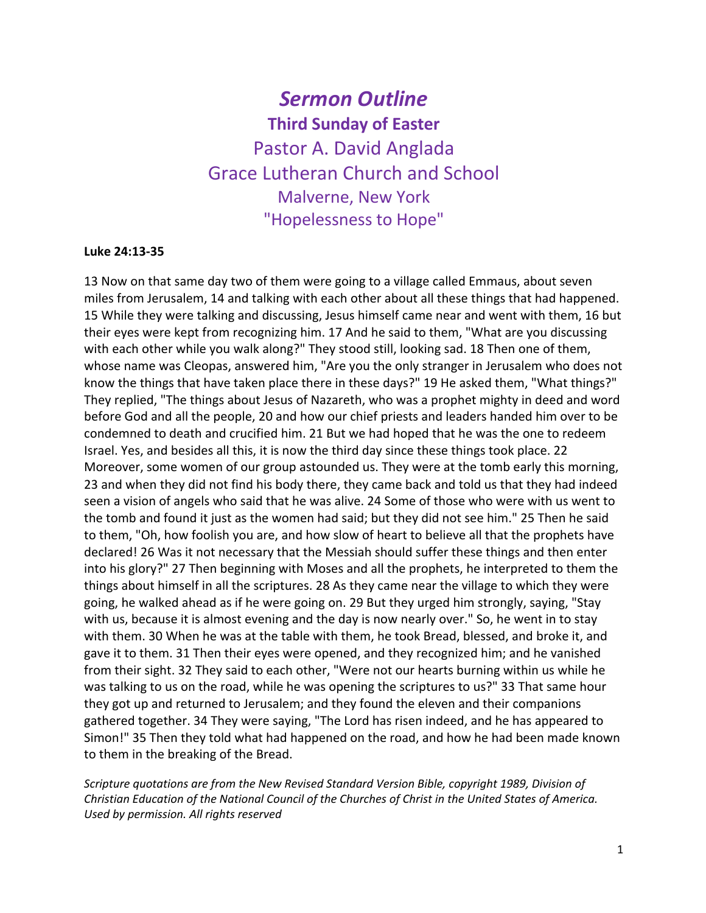# *Sermon Outline* **Third Sunday of Easter** Pastor A. David Anglada Grace Lutheran Church and School Malverne, New York "Hopelessness to Hope"

#### **Luke 24:13-35**

13 Now on that same day two of them were going to a village called Emmaus, about seven miles from Jerusalem, 14 and talking with each other about all these things that had happened. 15 While they were talking and discussing, Jesus himself came near and went with them, 16 but their eyes were kept from recognizing him. 17 And he said to them, "What are you discussing with each other while you walk along?" They stood still, looking sad. 18 Then one of them, whose name was Cleopas, answered him, "Are you the only stranger in Jerusalem who does not know the things that have taken place there in these days?" 19 He asked them, "What things?" They replied, "The things about Jesus of Nazareth, who was a prophet mighty in deed and word before God and all the people, 20 and how our chief priests and leaders handed him over to be condemned to death and crucified him. 21 But we had hoped that he was the one to redeem Israel. Yes, and besides all this, it is now the third day since these things took place. 22 Moreover, some women of our group astounded us. They were at the tomb early this morning, 23 and when they did not find his body there, they came back and told us that they had indeed seen a vision of angels who said that he was alive. 24 Some of those who were with us went to the tomb and found it just as the women had said; but they did not see him." 25 Then he said to them, "Oh, how foolish you are, and how slow of heart to believe all that the prophets have declared! 26 Was it not necessary that the Messiah should suffer these things and then enter into his glory?" 27 Then beginning with Moses and all the prophets, he interpreted to them the things about himself in all the scriptures. 28 As they came near the village to which they were going, he walked ahead as if he were going on. 29 But they urged him strongly, saying, "Stay with us, because it is almost evening and the day is now nearly over." So, he went in to stay with them. 30 When he was at the table with them, he took Bread, blessed, and broke it, and gave it to them. 31 Then their eyes were opened, and they recognized him; and he vanished from their sight. 32 They said to each other, "Were not our hearts burning within us while he was talking to us on the road, while he was opening the scriptures to us?" 33 That same hour they got up and returned to Jerusalem; and they found the eleven and their companions gathered together. 34 They were saying, "The Lord has risen indeed, and he has appeared to Simon!" 35 Then they told what had happened on the road, and how he had been made known to them in the breaking of the Bread.

*Scripture quotations are from the New Revised Standard Version Bible, copyright 1989, Division of Christian Education of the National Council of the Churches of Christ in the United States of America. Used by permission. All rights reserved*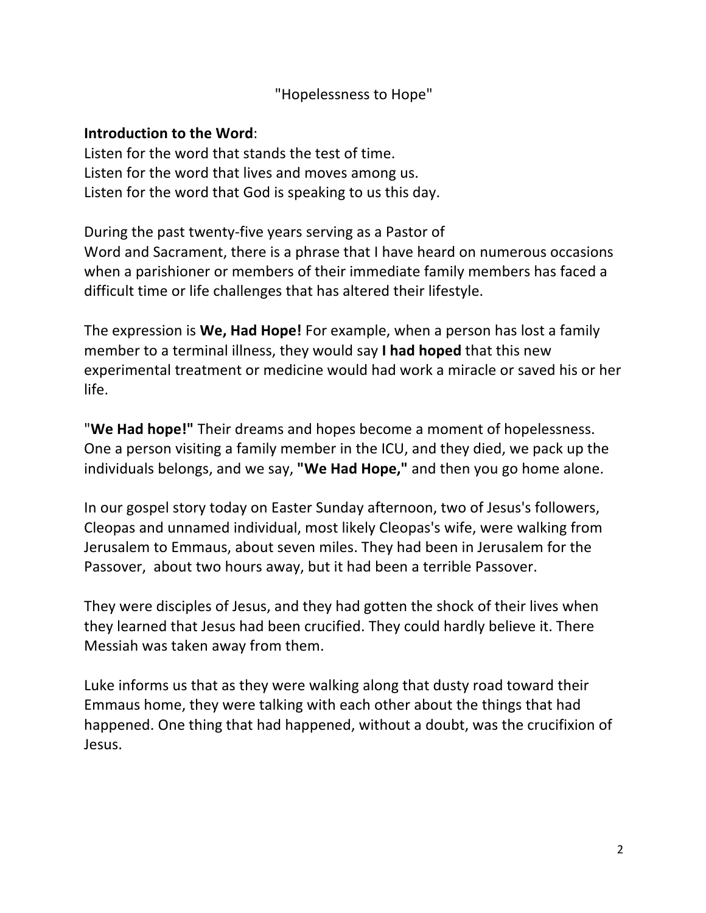# "Hopelessness to Hope"

### **Introduction to the Word**:

Listen for the word that stands the test of time. Listen for the word that lives and moves among us. Listen for the word that God is speaking to us this day.

During the past twenty-five years serving as a Pastor of Word and Sacrament, there is a phrase that I have heard on numerous occasions when a parishioner or members of their immediate family members has faced a difficult time or life challenges that has altered their lifestyle.

The expression is **We, Had Hope!** For example, when a person has lost a family member to a terminal illness, they would say **I had hoped** that this new experimental treatment or medicine would had work a miracle or saved his or her life.

"**We Had hope!"** Their dreams and hopes become a moment of hopelessness. One a person visiting a family member in the ICU, and they died, we pack up the individuals belongs, and we say, **"We Had Hope,"** and then you go home alone.

In our gospel story today on Easter Sunday afternoon, two of Jesus's followers, Cleopas and unnamed individual, most likely Cleopas's wife, were walking from Jerusalem to Emmaus, about seven miles. They had been in Jerusalem for the Passover, about two hours away, but it had been a terrible Passover.

They were disciples of Jesus, and they had gotten the shock of their lives when they learned that Jesus had been crucified. They could hardly believe it. There Messiah was taken away from them.

Luke informs us that as they were walking along that dusty road toward their Emmaus home, they were talking with each other about the things that had happened. One thing that had happened, without a doubt, was the crucifixion of Jesus.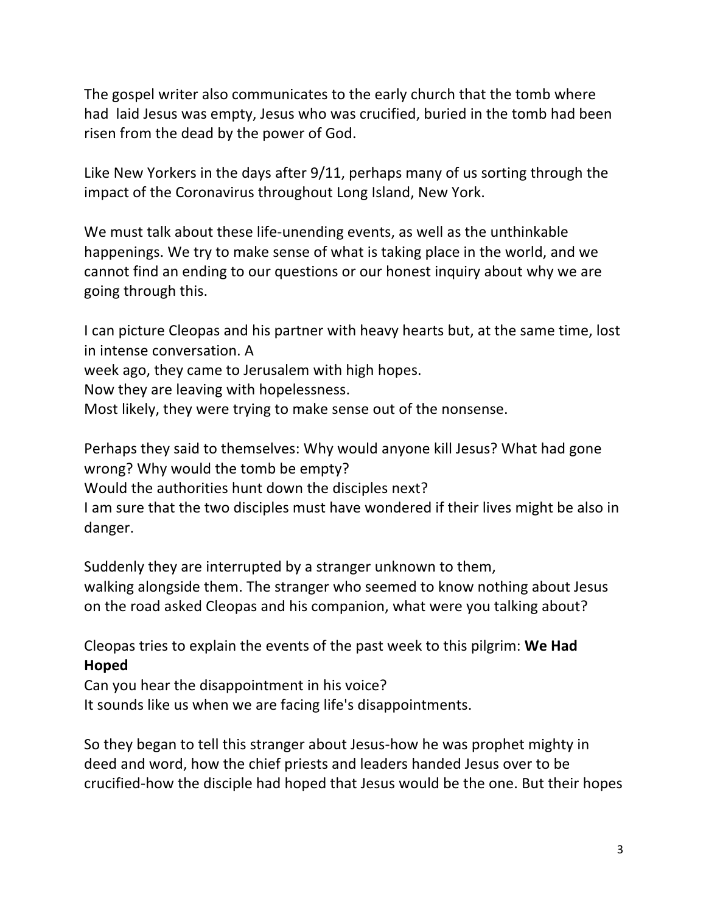The gospel writer also communicates to the early church that the tomb where had laid Jesus was empty, Jesus who was crucified, buried in the tomb had been risen from the dead by the power of God.

Like New Yorkers in the days after 9/11, perhaps many of us sorting through the impact of the Coronavirus throughout Long Island, New York.

We must talk about these life-unending events, as well as the unthinkable happenings. We try to make sense of what is taking place in the world, and we cannot find an ending to our questions or our honest inquiry about why we are going through this.

I can picture Cleopas and his partner with heavy hearts but, at the same time, lost in intense conversation. A

week ago, they came to Jerusalem with high hopes.

Now they are leaving with hopelessness.

Most likely, they were trying to make sense out of the nonsense.

Perhaps they said to themselves: Why would anyone kill Jesus? What had gone wrong? Why would the tomb be empty?

Would the authorities hunt down the disciples next?

I am sure that the two disciples must have wondered if their lives might be also in danger.

Suddenly they are interrupted by a stranger unknown to them, walking alongside them. The stranger who seemed to know nothing about Jesus on the road asked Cleopas and his companion, what were you talking about?

Cleopas tries to explain the events of the past week to this pilgrim: **We Had Hoped**

Can you hear the disappointment in his voice?

It sounds like us when we are facing life's disappointments.

So they began to tell this stranger about Jesus-how he was prophet mighty in deed and word, how the chief priests and leaders handed Jesus over to be crucified-how the disciple had hoped that Jesus would be the one. But their hopes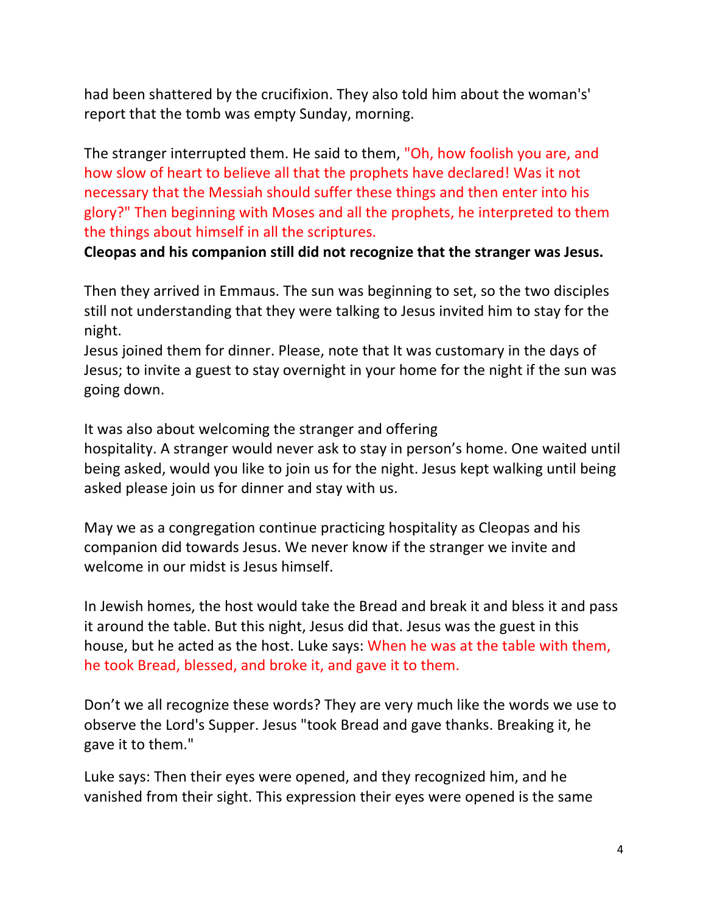had been shattered by the crucifixion. They also told him about the woman's' report that the tomb was empty Sunday, morning.

The stranger interrupted them. He said to them, "Oh, how foolish you are, and how slow of heart to believe all that the prophets have declared! Was it not necessary that the Messiah should suffer these things and then enter into his glory?" Then beginning with Moses and all the prophets, he interpreted to them the things about himself in all the scriptures.

**Cleopas and his companion still did not recognize that the stranger was Jesus.** 

Then they arrived in Emmaus. The sun was beginning to set, so the two disciples still not understanding that they were talking to Jesus invited him to stay for the night.

Jesus joined them for dinner. Please, note that It was customary in the days of Jesus; to invite a guest to stay overnight in your home for the night if the sun was going down.

It was also about welcoming the stranger and offering

hospitality. A stranger would never ask to stay in person's home. One waited until being asked, would you like to join us for the night. Jesus kept walking until being asked please join us for dinner and stay with us.

May we as a congregation continue practicing hospitality as Cleopas and his companion did towards Jesus. We never know if the stranger we invite and welcome in our midst is Jesus himself.

In Jewish homes, the host would take the Bread and break it and bless it and pass it around the table. But this night, Jesus did that. Jesus was the guest in this house, but he acted as the host. Luke says: When he was at the table with them, he took Bread, blessed, and broke it, and gave it to them.

Don't we all recognize these words? They are very much like the words we use to observe the Lord's Supper. Jesus "took Bread and gave thanks. Breaking it, he gave it to them."

Luke says: Then their eyes were opened, and they recognized him, and he vanished from their sight. This expression their eyes were opened is the same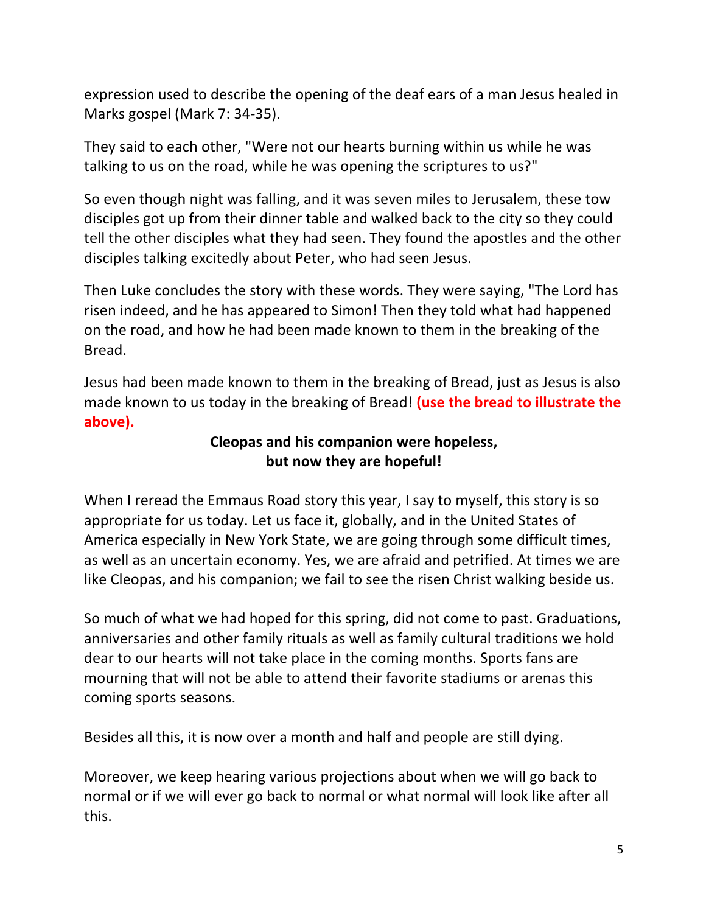expression used to describe the opening of the deaf ears of a man Jesus healed in Marks gospel (Mark 7: 34-35).

They said to each other, "Were not our hearts burning within us while he was talking to us on the road, while he was opening the scriptures to us?"

So even though night was falling, and it was seven miles to Jerusalem, these tow disciples got up from their dinner table and walked back to the city so they could tell the other disciples what they had seen. They found the apostles and the other disciples talking excitedly about Peter, who had seen Jesus.

Then Luke concludes the story with these words. They were saying, "The Lord has risen indeed, and he has appeared to Simon! Then they told what had happened on the road, and how he had been made known to them in the breaking of the Bread.

Jesus had been made known to them in the breaking of Bread, just as Jesus is also made known to us today in the breaking of Bread! **(use the bread to illustrate the above).**

# **Cleopas and his companion were hopeless, but now they are hopeful!**

When I reread the Emmaus Road story this year, I say to myself, this story is so appropriate for us today. Let us face it, globally, and in the United States of America especially in New York State, we are going through some difficult times, as well as an uncertain economy. Yes, we are afraid and petrified. At times we are like Cleopas, and his companion; we fail to see the risen Christ walking beside us.

So much of what we had hoped for this spring, did not come to past. Graduations, anniversaries and other family rituals as well as family cultural traditions we hold dear to our hearts will not take place in the coming months. Sports fans are mourning that will not be able to attend their favorite stadiums or arenas this coming sports seasons.

Besides all this, it is now over a month and half and people are still dying.

Moreover, we keep hearing various projections about when we will go back to normal or if we will ever go back to normal or what normal will look like after all this.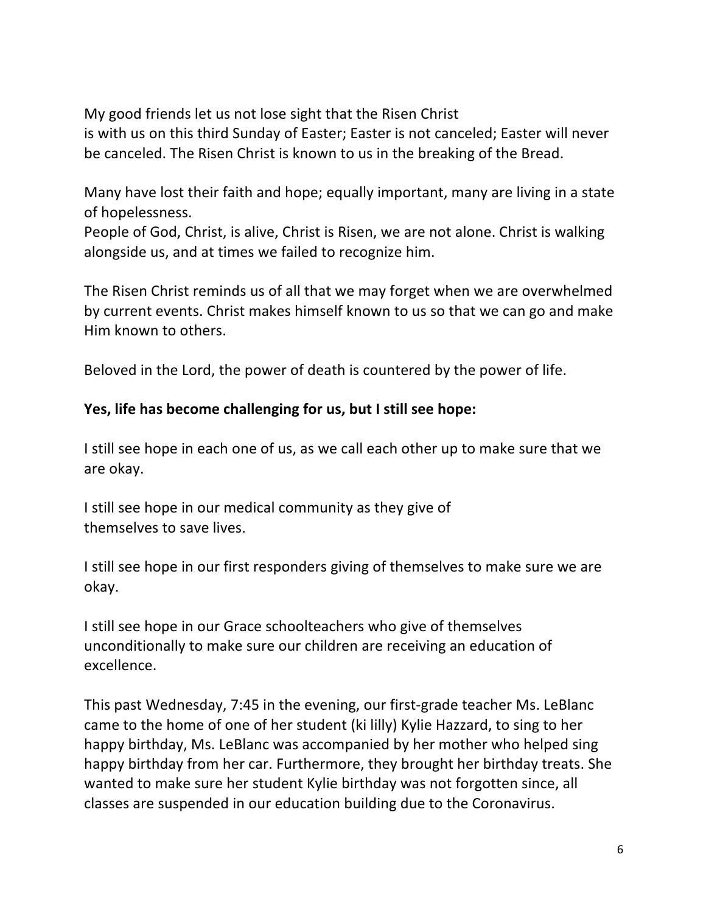My good friends let us not lose sight that the Risen Christ is with us on this third Sunday of Easter; Easter is not canceled; Easter will never be canceled. The Risen Christ is known to us in the breaking of the Bread.

Many have lost their faith and hope; equally important, many are living in a state of hopelessness.

People of God, Christ, is alive, Christ is Risen, we are not alone. Christ is walking alongside us, and at times we failed to recognize him.

The Risen Christ reminds us of all that we may forget when we are overwhelmed by current events. Christ makes himself known to us so that we can go and make Him known to others.

Beloved in the Lord, the power of death is countered by the power of life.

# **Yes, life has become challenging for us, but I still see hope:**

I still see hope in each one of us, as we call each other up to make sure that we are okay.

I still see hope in our medical community as they give of themselves to save lives.

I still see hope in our first responders giving of themselves to make sure we are okay.

I still see hope in our Grace schoolteachers who give of themselves unconditionally to make sure our children are receiving an education of excellence.

This past Wednesday, 7:45 in the evening, our first-grade teacher Ms. LeBlanc came to the home of one of her student (ki lilly) Kylie Hazzard, to sing to her happy birthday, Ms. LeBlanc was accompanied by her mother who helped sing happy birthday from her car. Furthermore, they brought her birthday treats. She wanted to make sure her student Kylie birthday was not forgotten since, all classes are suspended in our education building due to the Coronavirus.